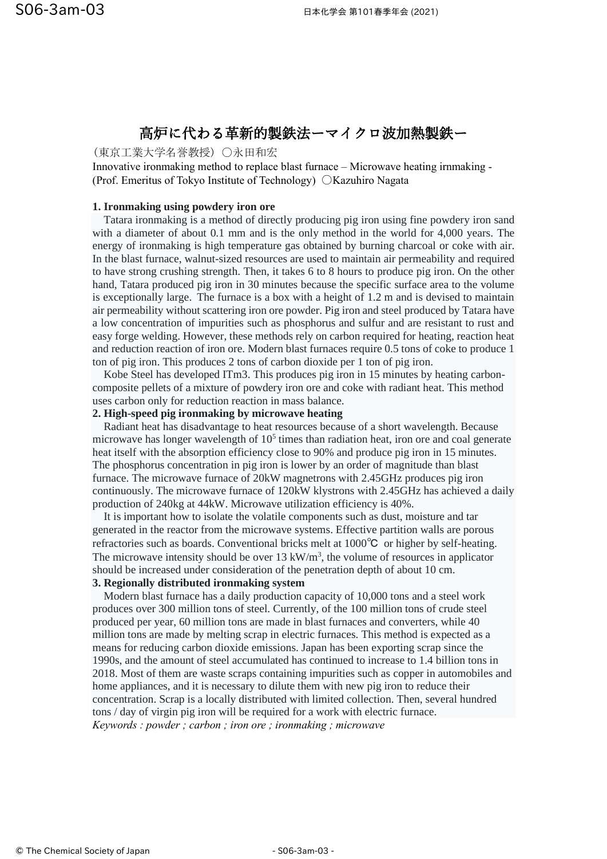# 高炉に代わる革新的製鉄法ーマイクロ波加熱製鉄ー

(東京工業大学名誉教授) 〇永田和宏

Innovative ironmaking method to replace blast furnace – Microwave heating irnmaking - (Prof. Emeritus of Tokyo Institute of Technology) 〇Kazuhiro Nagata

## **1. Ironmaking using powdery iron ore**

 Tatara ironmaking is a method of directly producing pig iron using fine powdery iron sand with a diameter of about 0.1 mm and is the only method in the world for 4,000 years. The energy of ironmaking is high temperature gas obtained by burning charcoal or coke with air. In the blast furnace, walnut-sized resources are used to maintain air permeability and required to have strong crushing strength. Then, it takes 6 to 8 hours to produce pig iron. On the other hand, Tatara produced pig iron in 30 minutes because the specific surface area to the volume is exceptionally large. The furnace is a box with a height of 1.2 m and is devised to maintain air permeability without scattering iron ore powder. Pig iron and steel produced by Tatara have a low concentration of impurities such as phosphorus and sulfur and are resistant to rust and easy forge welding. However, these methods rely on carbon required for heating, reaction heat and reduction reaction of iron ore. Modern blast furnaces require 0.5 tons of coke to produce 1 ton of pig iron. This produces 2 tons of carbon dioxide per 1 ton of pig iron.

 Kobe Steel has developed ITm3. This produces pig iron in 15 minutes by heating carboncomposite pellets of a mixture of powdery iron ore and coke with radiant heat. This method uses carbon only for reduction reaction in mass balance.

## **2. High-speed pig ironmaking by microwave heating**

 Radiant heat has disadvantage to heat resources because of a short wavelength. Because microwave has longer wavelength of  $10<sup>5</sup>$  times than radiation heat, iron ore and coal generate heat itself with the absorption efficiency close to 90% and produce pig iron in 15 minutes. The phosphorus concentration in pig iron is lower by an order of magnitude than blast furnace. The microwave furnace of 20kW magnetrons with 2.45GHz produces pig iron continuously. The microwave furnace of 120kW klystrons with 2.45GHz has achieved a daily production of 240kg at 44kW. Microwave utilization efficiency is 40%.

 It is important how to isolate the volatile components such as dust, moisture and tar generated in the reactor from the microwave systems. Effective partition walls are porous refractories such as boards. Conventional bricks melt at 1000℃ or higher by self-heating. The microwave intensity should be over  $13 \text{ kW/m}^3$ , the volume of resources in applicator should be increased under consideration of the penetration depth of about 10 cm.

# **3. Regionally distributed ironmaking system**

 Modern blast furnace has a daily production capacity of 10,000 tons and a steel work produces over 300 million tons of steel. Currently, of the 100 million tons of crude steel produced per year, 60 million tons are made in blast furnaces and converters, while 40 million tons are made by melting scrap in electric furnaces. This method is expected as a means for reducing carbon dioxide emissions. Japan has been exporting scrap since the 1990s, and the amount of steel accumulated has continued to increase to 1.4 billion tons in 2018. Most of them are waste scraps containing impurities such as copper in automobiles and home appliances, and it is necessary to dilute them with new pig iron to reduce their concentration. Scrap is a locally distributed with limited collection. Then, several hundred tons / day of virgin pig iron will be required for a work with electric furnace. *Keywords : powder ; carbon ; iron ore ; ironmaking ; microwave*